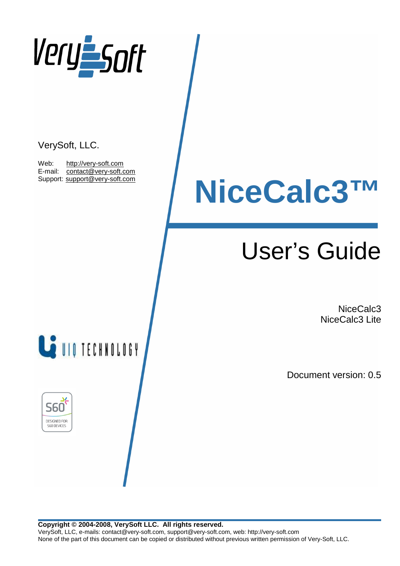

## VerySoft, LLC.

Web: http://very-soft.com E-mail: contact@very-soft.com Support: support@very-soft.com

# **NiceCalc3™**

## User's Guide

NiceCalc3 NiceCalc3 Lite

Document version: 0.5





**Copyright © 2004-2008, VerySoft LLC. All rights reserved.**  VerySoft, LLC, e-mails: contact@very-soft.com, support@very-soft.com, web: http://very-soft.com None of the part of this document can be copied or distributed without previous written permission of Very-Soft, LLC.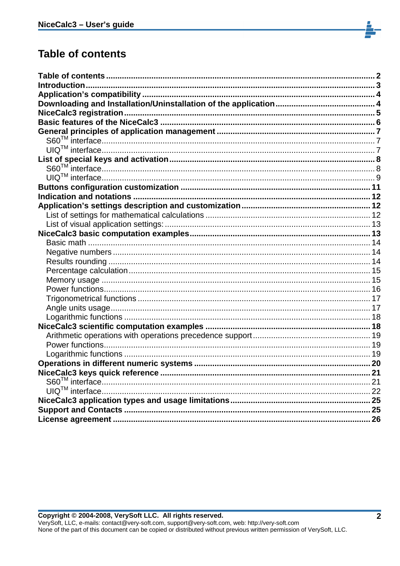## **Table of contents**

| Introduction |  |
|--------------|--|
|              |  |
|              |  |
|              |  |
|              |  |
|              |  |
|              |  |
|              |  |
|              |  |
|              |  |
|              |  |
|              |  |
|              |  |
|              |  |
|              |  |
|              |  |
|              |  |
|              |  |
|              |  |
|              |  |
|              |  |
|              |  |
|              |  |
|              |  |
|              |  |
|              |  |
|              |  |
|              |  |
|              |  |
|              |  |
|              |  |
|              |  |
|              |  |
|              |  |
|              |  |
|              |  |
|              |  |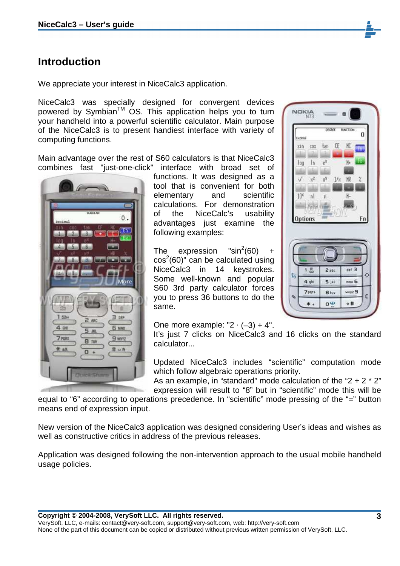## **Introduction**

We appreciate your interest in NiceCalc3 application.

NiceCalc3 was specially designed for convergent devices powered by Symbian<sup>TM</sup> OS. This application helps you to turn your handheld into a powerful scientific calculator. Main purpose of the NiceCalc3 is to present handiest interface with variety of computing functions.

Main advantage over the rest of S60 calculators is that NiceCalc3 combines fast "just-one-click" interface with broad set of



functions. It was designed as a tool that is convenient for both elementary and scientific calculations. For demonstration of the NiceCalc's usability advantages just examine the following examples:

The expression " $sin^2(60)$  $cos<sup>2</sup>(60)$ " can be calculated using NiceCalc3 in 14 keystrokes. Some well-known and popular S60 3rd party calculator forces you to press 36 buttons to do the same.



One more example: " $2 \cdot (-3) + 4$ ".

It's just 7 clicks on NiceCalc3 and 16 clicks on the standard calculator...

Updated NiceCalc3 includes "scientific" computation mode which follow algebraic operations priority.

As an example, in "standard" mode calculation of the "2  $+$  2  $*$  2" expression will result to "8" but in "scientific" mode this will be

equal to "6" according to operations precedence. In "scientific" mode pressing of the "=" button means end of expression input.

New version of the NiceCalc3 application was designed considering User's ideas and wishes as well as constructive critics in address of the previous releases.

Application was designed following the non-intervention approach to the usual mobile handheld usage policies.

**Copyright © 2004-2008, VerySoft LLC. All rights reserved.**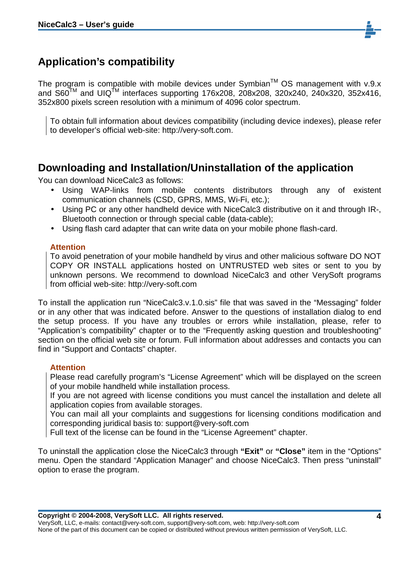

The program is compatible with mobile devices under Symbian<sup>TM</sup> OS management with v.9.x and  $SO^{TM}$  and UIQ<sup>TM</sup> interfaces supporting 176x208, 208x208, 320x240, 240x320, 352x416, 352x800 pixels screen resolution with a minimum of 4096 color spectrum.

To obtain full information about devices compatibility (including device indexes), please refer to developer's official web-site: http://very-soft.com.

## **Downloading and Installation/Uninstallation of the application**

You can download NiceCalc3 as follows:

- Using WAP-links from mobile contents distributors through any of existent communication channels (CSD, GPRS, MMS, Wi-Fi, etc.);
- Using PC or any other handheld device with NiceCalc3 distributive on it and through IR-, Bluetooth connection or through special cable (data-cable);
- Using flash card adapter that can write data on your mobile phone flash-card.

#### **Attention**

To avoid penetration of your mobile handheld by virus and other malicious software DO NOT COPY OR INSTALL applications hosted on UNTRUSTED web sites or sent to you by unknown persons. We recommend to download NiceCalc3 and other VerySoft programs from official web-site: http://very-soft.com

To install the application run "NiceCalc3.v.1.0.sis" file that was saved in the "Messaging" folder or in any other that was indicated before. Answer to the questions of installation dialog to end the setup process. If you have any troubles or errors while installation, please, refer to "Application's compatibility" chapter or to the "Frequently asking question and troubleshooting" section on the official web site or forum. Full information about addresses and contacts you can find in "Support and Contacts" chapter.

#### **Attention**

Please read carefully program's "License Agreement" which will be displayed on the screen of your mobile handheld while installation process.

If you are not agreed with license conditions you must cancel the installation and delete all application copies from available storages.

You can mail all your complaints and suggestions for licensing conditions modification and corresponding juridical basis to: support@very-soft.com

Full text of the license can be found in the "License Agreement" chapter.

To uninstall the application close the NiceCalc3 through **"Exit"** or **"Close"** item in the "Options" menu. Open the standard "Application Manager" and choose NiceCalc3. Then press "uninstall" option to erase the program.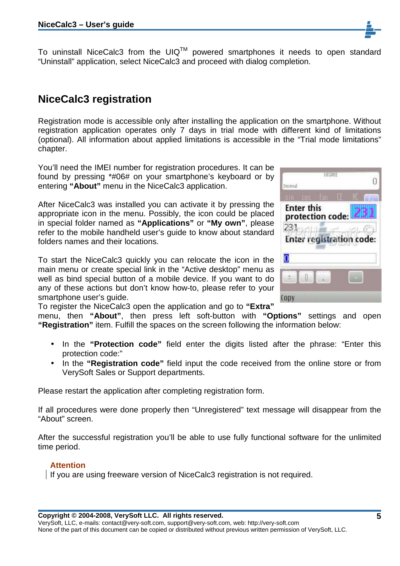To uninstall NiceCalc3 from the  $UIQ^{TM}$  powered smartphones it needs to open standard "Uninstall" application, select NiceCalc3 and proceed with dialog completion.

## **NiceCalc3 registration**

Registration mode is accessible only after installing the application on the smartphone. Without registration application operates only 7 days in trial mode with different kind of limitations (optional). All information about applied limitations is accessible in the "Trial mode limitations" chapter.

You'll need the IMEI number for registration procedures. It can be found by pressing \*#06# on your smartphone's keyboard or by entering **"About"** menu in the NiceCalc3 application.

After NiceCalc3 was installed you can activate it by pressing the appropriate icon in the menu. Possibly, the icon could be placed in special folder named as **"Applications"** or **"My own"**, please refer to the mobile handheld user's guide to know about standard folders names and their locations.

To start the NiceCalc3 quickly you can relocate the icon in the main menu or create special link in the "Active desktop" menu as well as bind special button of a mobile device. If you want to do any of these actions but don't know how-to, please refer to your smartphone user's guide.

| Decimal |                   | DEGREE           |   | П                               |  |
|---------|-------------------|------------------|---|---------------------------------|--|
| 8 T N   |                   | cos tan          | 旧 |                                 |  |
|         | <b>Enter this</b> | protection code: |   |                                 |  |
| 231     |                   |                  |   |                                 |  |
|         |                   |                  |   | <b>Enter registration code:</b> |  |
| 0       |                   |                  |   |                                 |  |
|         | Ĥ                 |                  |   |                                 |  |
|         |                   |                  |   |                                 |  |

To register the NiceCalc3 open the application and go to **"Extra"**

menu, then **"About"**, then press left soft-button with **"Options"** settings and open **"Registration"** item. Fulfill the spaces on the screen following the information below:

- In the **"Protection code"** field enter the digits listed after the phrase: "Enter this protection code:"
- In the **"Registration code"** field input the code received from the online store or from VerySoft Sales or Support departments.

Please restart the application after completing registration form.

If all procedures were done properly then "Unregistered" text message will disappear from the "About" screen.

After the successful registration you'll be able to use fully functional software for the unlimited time period.

#### **Attention**

If you are using freeware version of NiceCalc3 registration is not required.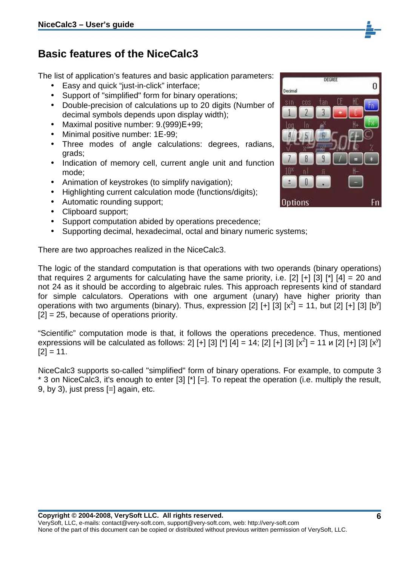## **Basic features of the NiceCalc3**

The list of application's features and basic application parameters:

- Easy and quick "just-in-click" interface;
- Support of "simplified" form for binary operations;
- Double-precision of calculations up to 20 digits (Number of decimal symbols depends upon display width);
- Maximal positive number: 9.(999)E+99:
- Minimal positive number: 1E-99;
- Three modes of angle calculations: degrees, radians, grads;
- Indication of memory cell, current angle unit and function mode;
- Animation of keystrokes (to simplify navigation);
- Highlighting current calculation mode (functions/digits);
- Automatic rounding support;
- Clipboard support;
- Support computation abided by operations precedence;
- Supporting decimal, hexadecimal, octal and binary numeric systems;

There are two approaches realized in the NiceCalc3.

The logic of the standard computation is that operations with two operands (binary operations) that requires 2 arguments for calculating have the same priority, i.e. [2]  $[+]$  [3]  $[!]$  [4] = 20 and not 24 as it should be according to algebraic rules. This approach represents kind of standard for simple calculators. Operations with one argument (unary) have higher priority than operations with two arguments (binary). Thus, expression [2]  $[+]$  [3]  $[x^2] = 11$ , but [2]  $[+]$  [3]  $[b^y]$  $[2] = 25$ , because of operations priority.

"Scientific" computation mode is that, it follows the operations precedence. Thus, mentioned expressions will be calculated as follows: 2] [+] [3] [\*] [4] = 14; [2] [+] [3] [x<sup>2</sup>] = 11 и [2] [+] [3] [x<sup>y</sup>]  $[2] = 11.$ 

NiceCalc3 supports so-called "simplified" form of binary operations. For example, to compute 3 \* 3 on NiceCalc3, it's enough to enter [3] [\*] [=]. To repeat the operation (i.e. multiply the result, 9, by 3), just press [=] again, etc.



**6**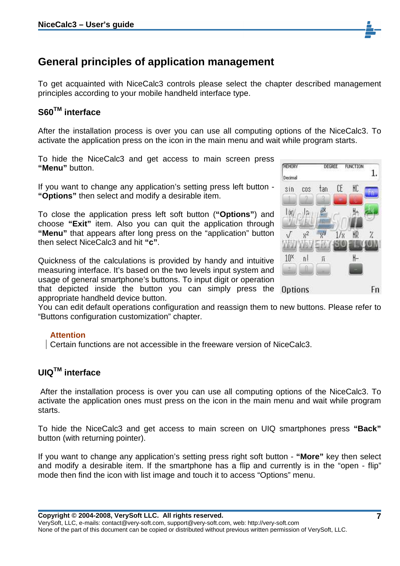## **General principles of application management**

To get acquainted with NiceCalc3 controls please select the chapter described management principles according to your mobile handheld interface type.

#### **S60TM interface**

After the installation process is over you can use all computing options of the NiceCalc3. To activate the application press on the icon in the main menu and wait while program starts.

To hide the NiceCalc3 and get access to main screen press **"Menu"** button.

If you want to change any application's setting press left button - **"Options"** then select and modify a desirable item.

To close the application press left soft button (**"Options"**) and choose **"Exit"** item. Also you can quit the application through **"Menu"** that appears after long press on the "application" button then select NiceCalc3 and hit **"c"**.

Quickness of the calculations is provided by handy and intuitive measuring interface. It's based on the two levels input system and usage of general smartphone's buttons. To input digit or operation that depicted inside the button you can simply press the

appropriate handheld device button.

You can edit default operations configuration and reassign them to new buttons. Please refer to "Buttons configuration customization" chapter.

#### **Attention**

Certain functions are not accessible in the freeware version of NiceCalc3.

#### **UIQTM interface**

 After the installation process is over you can use all computing options of the NiceCalc3. To activate the application ones must press on the icon in the main menu and wait while program starts.

To hide the NiceCalc3 and get access to main screen on UIQ smartphones press **"Back"** button (with returning pointer).

If you want to change any application's setting press right soft button - **"More"** key then select and modify a desirable item. If the smartphone has a flip and currently is in the "open - flip" mode then find the icon with list image and touch it to access "Options" menu.

**Copyright © 2004-2008, VerySoft LLC. All rights reserved.** 

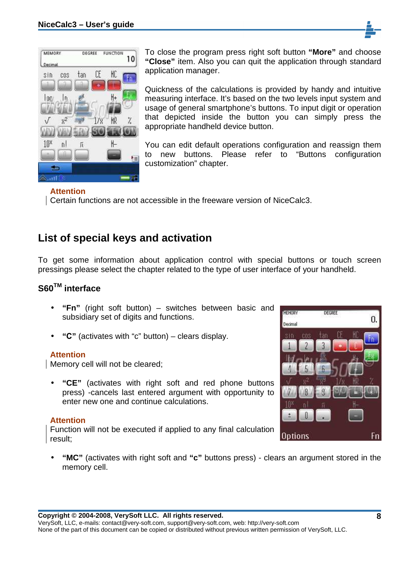

To close the program press right soft button **"More"** and choose **"Close"** item. Also you can quit the application through standard application manager.

Quickness of the calculations is provided by handy and intuitive measuring interface. It's based on the two levels input system and usage of general smartphone's buttons. To input digit or operation that depicted inside the button you can simply press the appropriate handheld device button.

You can edit default operations configuration and reassign them to new buttons. Please refer to "Buttons configuration customization" chapter.

#### **Attention**

Certain functions are not accessible in the freeware version of NiceCalc3.

## **List of special keys and activation**

To get some information about application control with special buttons or touch screen pressings please select the chapter related to the type of user interface of your handheld.

#### **S60TM interface**

- **"Fn"** (right soft button) switches between basic and subsidiary set of digits and functions.
- **"С"** (activates with "c" button) clears display.

#### **Attention**

Memory cell will not be cleared;

• **"CE"** (activates with right soft and red phone buttons press) -cancels last entered argument with opportunity to enter new one and continue calculations.

#### **Attention**

Function will not be executed if applied to any final calculation result;

• **"MC"** (activates with right soft and **"c"** buttons press) - clears an argument stored in the memory cell.

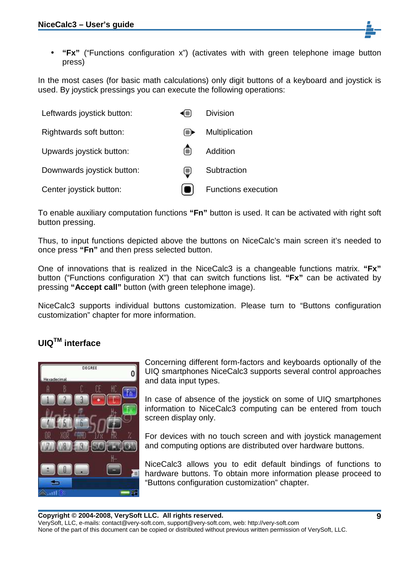• **"Fx"** ("Functions configuration x") (activates with with green telephone image button press)

In the most cases (for basic math calculations) only digit buttons of a keyboard and joystick is used. By joystick pressings you can execute the following operations:

| Leftwards joystick button: | $\blacksquare$              | <b>Division</b>     |
|----------------------------|-----------------------------|---------------------|
| Rightwards soft button:    | $\blacksquare$              | Multiplication      |
| Upwards joystick button:   | ∩                           | Addition            |
| Downwards joystick button: | $\textcolor{red}{\bigcirc}$ | Subtraction         |
| Center joystick button:    |                             | Functions execution |

To enable auxiliary computation functions **"Fn"** button is used. It can be activated with right soft button pressing.

Thus, to input functions depicted above the buttons on NiceCalc's main screen it's needed to once press **"Fn"** and then press selected button.

One of innovations that is realized in the NiceCalc3 is a changeable functions matrix. **"Fx"** button ("Functions configuration X") that can switch functions list. **"Fx"** can be activated by pressing **"Accept call"** button (with green telephone image).

NiceCalc3 supports individual buttons customization. Please turn to "Buttons configuration customization" chapter for more information.

### **UIQTM interface**



Concerning different form-factors and keyboards optionally of the UIQ smartphones NiceCalc3 supports several control approaches and data input types.

In case of absence of the joystick on some of UIQ smartphones information to NiceCalc3 computing can be entered from touch screen display only.

For devices with no touch screen and with joystick management and computing options are distributed over hardware buttons.

NiceCalc3 allows you to edit default bindings of functions to hardware buttons. To obtain more information please proceed to "Buttons configuration customization" chapter.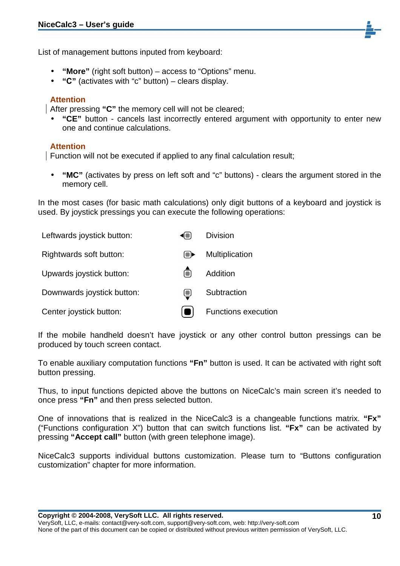List of management buttons inputed from keyboard:

- **"More"** (right soft button) access to "Options" menu.
- **"С"** (activates with "c" button) clears display.

#### **Attention**

After pressing **"C"** the memory cell will not be cleared;

• **"CE"** button - cancels last incorrectly entered argument with opportunity to enter new one and continue calculations.

#### **Attention**

Function will not be executed if applied to any final calculation result;

• **"MC"** (activates by press on left soft and "c" buttons) - clears the argument stored in the memory cell.

In the most cases (for basic math calculations) only digit buttons of a keyboard and joystick is used. By joystick pressings you can execute the following operations:

| Leftwards joystick button: | 40)            | <b>Division</b>     |
|----------------------------|----------------|---------------------|
| Rightwards soft button:    | $\blacksquare$ | Multiplication      |
| Upwards joystick button:   |                | Addition            |
| Downwards joystick button: | $\bigcirc$     | Subtraction         |
| Center joystick button:    |                | Functions execution |

If the mobile handheld doesn't have joystick or any other control button pressings can be produced by touch screen contact.

To enable auxiliary computation functions **"Fn"** button is used. It can be activated with right soft button pressing.

Thus, to input functions depicted above the buttons on NiceCalc's main screen it's needed to once press **"Fn"** and then press selected button.

One of innovations that is realized in the NiceCalc3 is a changeable functions matrix. **"Fx"** ("Functions configuration X") button that can switch functions list. **"Fx"** can be activated by pressing **"Accept call"** button (with green telephone image).

NiceCalc3 supports individual buttons customization. Please turn to "Buttons configuration customization" chapter for more information.

**Copyright © 2004-2008, VerySoft LLC. All rights reserved.**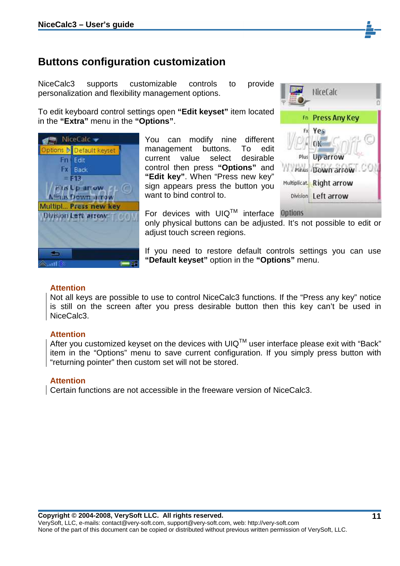## **Buttons configuration customization**

NiceCalc3 supports customizable controls to provide personalization and flexibility management options.

To edit keyboard control settings open **"Edit keyset"** item located in the **"Extra"** menu in the **"Options"**.



You can modify nine different management buttons. To edit current value select desirable control then press **"Options"** and **"Edit key"**. When "Press new key" sign appears press the button you want to bind control to.



For devices with UIQ™ interface 0ptions

only physical buttons can be adjusted. It's not possible to edit or adjust touch screen regions.

If you need to restore default controls settings you can use **"Default keyset"** option in the **"Options"** menu.

#### **Attention**

Not all keys are possible to use to control NiceCalc3 functions. If the "Press any key" notice is still on the screen after you press desirable button then this key can't be used in NiceCalc3.

#### **Attention**

After you customized keyset on the devices with  $UIQ<sup>TM</sup>$  user interface please exit with "Back" item in the "Options" menu to save current configuration. If you simply press button with "returning pointer" then custom set will not be stored.

#### **Attention**

Certain functions are not accessible in the freeware version of NiceCalc3.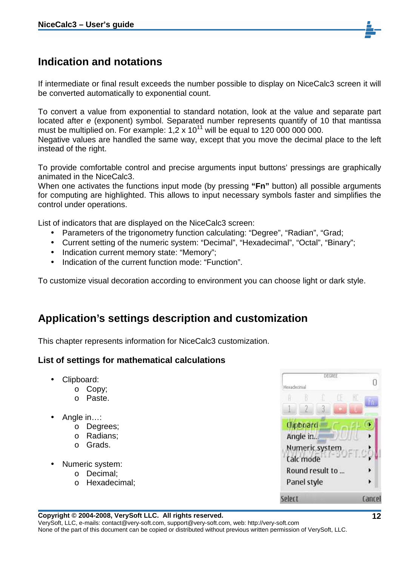## **Indication and notations**

If intermediate or final result exceeds the number possible to display on NiceCalc3 screen it will be converted automatically to exponential count.

To convert a value from exponential to standard notation, look at the value and separate part located after e (exponent) symbol. Separated number represents quantify of 10 that mantissa must be multiplied on. For example:  $1.2 \times 10^{11}$  will be equal to 120 000 000 000.

Negative values are handled the same way, except that you move the decimal place to the left instead of the right.

To provide comfortable control and precise arguments input buttons' pressings are graphically animated in the NiceCalc3.

When one activates the functions input mode (by pressing **"Fn"** button) all possible arguments for computing are highlighted. This allows to input necessary symbols faster and simplifies the control under operations.

List of indicators that are displayed on the NiceCalc3 screen:

- Parameters of the trigonometry function calculating: "Degree", "Radian", "Grad;
- Current setting of the numeric system: "Decimal", "Hexadecimal", "Octal", "Binary";
- Indication current memory state: "Memory";
- Indication of the current function mode: "Function".

To customize visual decoration according to environment you can choose light or dark style.

## **Application's settings description and customization**

This chapter represents information for NiceCalc3 customization.

#### **List of settings for mathematical calculations**

- Clipboard:
	- o Copy;
	- o Paste.
- Angle in...:
	- o Degrees;
	- o Radians;
	- o Grads.
- Numeric system:
	- o Decimal;
	- o Hexadecimal;

| Hexadecinial |                 |  |      |
|--------------|-----------------|--|------|
|              |                 |  |      |
|              | 2               |  |      |
|              | Chpboard        |  |      |
|              | Angle in        |  |      |
|              | Numeric system  |  |      |
|              | Calc mode       |  |      |
|              | Round result to |  |      |
|              | Panel style     |  |      |
| Select       |                 |  | Canc |

#### **Copyright © 2004-2008, VerySoft LLC. All rights reserved.**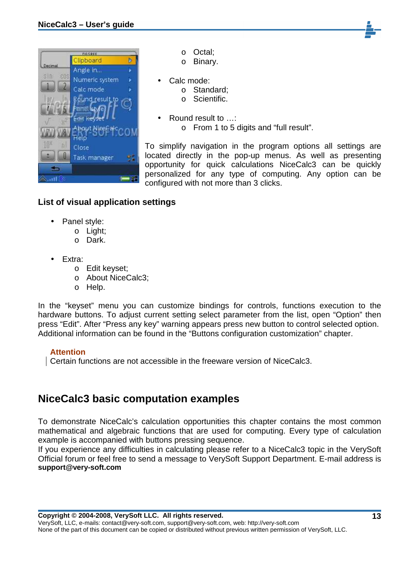

- o Octal;
- o Binary.
- Calc mode:
	- o Standard;
	- o Scientific.
- Round result to ...:
	- o From 1 to 5 digits and "full result".

To simplify navigation in the program options all settings are located directly in the pop-up menus. As well as presenting opportunity for quick calculations NiceCalc3 can be quickly personalized for any type of computing. Any option can be configured with not more than 3 clicks.

#### **List of visual application settings**

- Panel style:
	- o Light;
	- o Dark.
- Extra:
	- o Edit keyset;
	- o About NiceCalc3;
	- o Help.

In the "keyset" menu you can customize bindings for controls, functions execution to the hardware buttons. To adjust current setting select parameter from the list, open "Option" then press "Edit". After "Press any key" warning appears press new button to control selected option. Additional information can be found in the "Buttons configuration customization" chapter.

#### **Attention**

Certain functions are not accessible in the freeware version of NiceCalc3.

## **NiceCalc3 basic computation examples**

To demonstrate NiceCalc's calculation opportunities this chapter contains the most common mathematical and algebraic functions that are used for computing. Every type of calculation example is accompanied with buttons pressing sequence.

If you experience any difficulties in calculating please refer to a NiceCalc3 topic in the VerySoft Official forum or feel free to send a message to VerySoft Support Department. E-mail address is **support@very-soft.com**

**Copyright © 2004-2008, VerySoft LLC. All rights reserved.**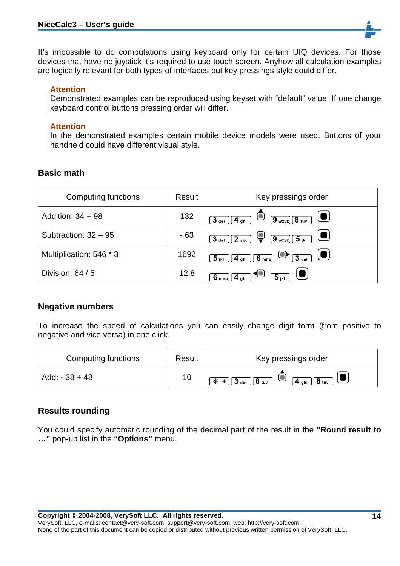It's impossible to do computations using keyboard only for certain UIQ devices. For those devices that have no joystick it's required to use touch screen. Anyhow all calculation examples are logically relevant for both types of interfaces but key pressings style could differ.

#### **Attention**

Demonstrated examples can be reproduced using keyset with "default" value. If one change keyboard control buttons pressing order will differ.

#### **Attention**

In the demonstrated examples certain mobile device models were used. Buttons of your handheld could have different visual style.

#### **Basic math**

| Computing functions     | Result | Key pressings order                                             |
|-------------------------|--------|-----------------------------------------------------------------|
| Addition: $34 + 98$     | 132    | U<br>$\boxed{9_{wxyz}}$ $\boxed{8}_{tuv}$<br>$3$ def<br>$4$ ghi |
| Subtraction: $32 - 95$  | $-63$  | Ų<br>$\boxed{9_{wxyz}}$ $\boxed{5_{jkl}}$<br>$3$ def<br>$2$ abc |
| Multiplication: 546 * 3 | 1692   | 3 <sub>def</sub><br>$5_{jkl}$<br>$6 \text{ mno}$<br>4 ghi       |
| Division: $64/5$        | 12,8   | 90<br>5 <sub>ikl</sub><br>$6 \text{ mno}$<br>$4$ ahi            |

#### **Negative numbers**

To increase the speed of calculations you can easily change digit form (from positive to negative and vice versa) in one click.

| Computing functions | Result | Key pressings order                                                |
|---------------------|--------|--------------------------------------------------------------------|
| Add: $-38 + 48$     | 10     | $(4_{\text{ghi}})$ $(8_{\text{tuv}})$<br>$*\ + [3]_{def} [8]_{tw}$ |

#### **Results rounding**

You could specify automatic rounding of the decimal part of the result in the **"Round result to …"** pop-up list in the **"Options"** menu.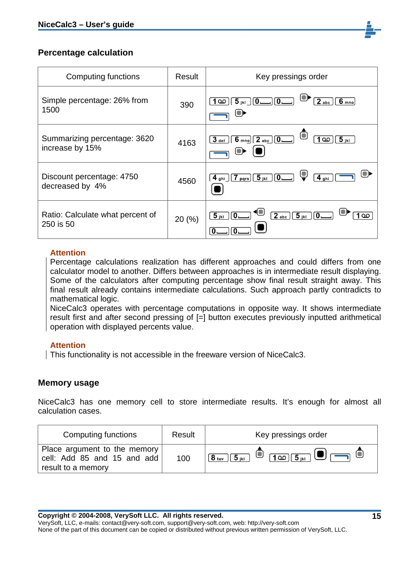

| Computing functions                             | Result | Key pressings order                                                                                |
|-------------------------------------------------|--------|----------------------------------------------------------------------------------------------------|
| Simple percentage: 26% from<br>1500             | 390    | $\overline{\mathbf{0}}$ .<br>$2$ abc<br>$6 \text{ m}$<br>$5_{jkl}$<br>o٥                           |
| Summarizing percentage: 3620<br>increase by 15% | 4163   | $6_{\text{mno}}$<br>$\boxed{2 \text{ abc}}$<br>$5$ iki<br>$3$ def $\overline{\phantom{a}}$<br>1 00 |
| Discount percentage: 4750<br>decreased by 4%    | 4560   | $5_{jkl}$<br>4 <sub>ghi</sub><br>4 <sub>ghi</sub><br>pqrs                                          |
| Ratio: Calculate what percent of<br>250 is 50   | 20 (%) | 10<br>$\boxed{5}$ jki<br>2 <sub>abc</sub><br>$5$ jki                                               |

#### **Attention**

Percentage calculations realization has different approaches and could differs from one calculator model to another. Differs between approaches is in intermediate result displaying. Some of the calculators after computing percentage show final result straight away. This final result already contains intermediate calculations. Such approach partly contradicts to mathematical logic.

NiceCalc3 operates with percentage computations in opposite way. It shows intermediate result first and after second pressing of [=] button executes previously inputted arithmetical operation with displayed percents value.

#### **Attention**

This functionality is not accessible in the freeware version of NiceCalc3.

#### **Memory usage**

NiceCalc3 has one memory cell to store intermediate results. It's enough for almost all calculation cases.

| Computing functions                                                               | Result | Key pressings order                                                                               |
|-----------------------------------------------------------------------------------|--------|---------------------------------------------------------------------------------------------------|
| Place argument to the memory<br>cell: Add 85 and 15 and add<br>result to a memory | 100    | $\frac{1}{8}$ tuv $\frac{1}{5}$ jki $\frac{1}{2}$ $\frac{1}{100}$ $\frac{1}{5}$ jki $\frac{1}{2}$ |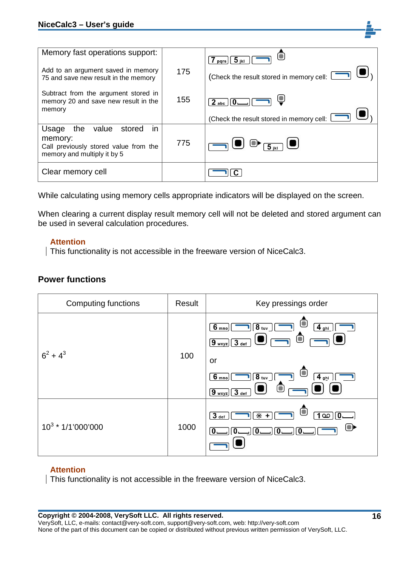| Memory fast operations support:                                                        |     | . 5 јкг<br>f pqrs                                                   |
|----------------------------------------------------------------------------------------|-----|---------------------------------------------------------------------|
| Add to an argument saved in memory<br>75 and save new result in the memory             | 175 | (Check the result stored in memory cell:                            |
| Subtract from the argument stored in<br>memory 20 and save new result in the<br>memory | 155 | $\sqrt{0}$ .<br>$2$ abc<br>(Check the result stored in memory cell: |
| the<br>value<br>stored<br>Usage<br>in.                                                 |     |                                                                     |
| memory:<br>Call previously stored value from the<br>memory and multiply it by 5        | 775 | $\bigcirc$ $\overline{5_{\text{ikl}}}$                              |
| Clear memory cell                                                                      |     |                                                                     |

While calculating using memory cells appropriate indicators will be displayed on the screen.

When clearing a current display result memory cell will not be deleted and stored argument can be used in several calculation procedures.

#### **Attention**

This functionality is not accessible in the freeware version of NiceCalc3.

#### **Power functions**

| <b>Computing functions</b> | Result | Key pressings order                                                                                                                                                                                  |
|----------------------------|--------|------------------------------------------------------------------------------------------------------------------------------------------------------------------------------------------------------|
| $6^2 + 4^3$                | 100    | 4 <sub>ghi</sub><br>8 <sub>tuv</sub><br>$6 \text{ mno}$<br>Ō<br>$9$ wxyz $3$ def<br>or<br>Ō<br>$4$ ghi<br>8 <sub>tuv</sub><br>$6 \text{ m}$<br>Ĝ<br>$\boxed{9 \text{ wxyz}}$ $\boxed{3 \text{ def}}$ |
| $10^3 * 1/1'000'000$       | 1000   | $\overline{\ast}$<br>3 <sub>def</sub><br>$\overline{1}$ 00<br>$\blacksquare$                                                                                                                         |

#### **Attention**

This functionality is not accessible in the freeware version of NiceCalc3.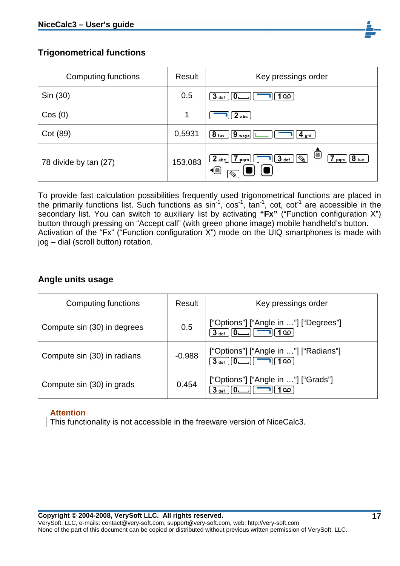

#### **Trigonometrical functions**

| <b>Computing functions</b> | Result  | Key pressings order                                                       |
|----------------------------|---------|---------------------------------------------------------------------------|
| Sin (30)                   | 0,5     | $3$ def<br>0.<br>1 ഥ                                                      |
| Cos(0)                     | 1       | $2$ abc                                                                   |
| Cot (89)                   | 0,5931  | $[9$ wxyz $]$<br>$ 8$ tuv $ $<br>$\frac{4 \text{ ghi}}{2}$                |
| 78 divide by tan (27)      | 153,083 | $7_{pqrs}$ $8_{tuv}$<br>$\sqrt{3}$ def<br>$2$ abc $(7)$ pqrs<br><b>40</b> |

To provide fast calculation possibilities frequently used trigonometrical functions are placed in the primarily functions list. Such functions as  $\sin^{-1}$ ,  $\cos^{-1}$ ,  $\tan^{-1}$ ,  $\cot$ ,  $\cot^{-1}$  are accessible in the secondary list. You can switch to auxiliary list by activating **"Fx"** ("Function configuration X") button through pressing on "Accept call" (with green phone image) mobile handheld's button. Activation of the "Fx" ("Function configuration X") mode on the UIQ smartphones is made with jog – dial (scroll button) rotation.

#### **Angle units usage**

| Computing functions         | Result   | Key pressings order                                                   |
|-----------------------------|----------|-----------------------------------------------------------------------|
| Compute sin (30) in degrees | 0.5      | ["Options"] ["Angle in "] ["Degrees"]<br>$3$ def $\sqrt{0}$<br>   1 ထ |
| Compute sin (30) in radians | $-0.988$ | ["Options"] ["Angle in "] ["Radians"]<br>$3$ def $\sqrt{0}$<br>1 ယ    |
| Compute sin (30) in grads   | 0.454    | ["Options"] ["Angle in "] ["Grads"]<br>1 ഥ                            |

#### **Attention**

This functionality is not accessible in the freeware version of NiceCalc3.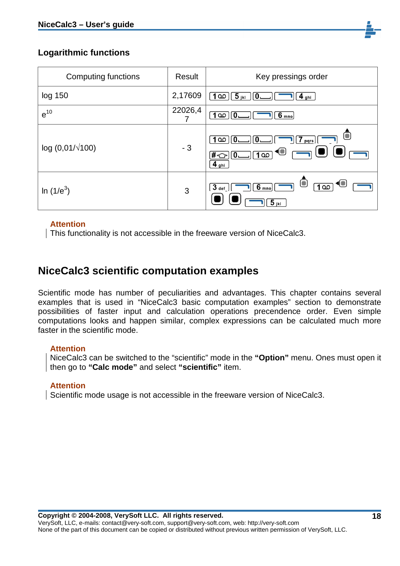

#### **Logarithmic functions**

| <b>Computing functions</b> | Result  | Key pressings order                                                                                                       |
|----------------------------|---------|---------------------------------------------------------------------------------------------------------------------------|
| log 150                    | 2,17609 | $5$ jkl<br>1 ഥ<br>$0 -$<br>$4$ ghi                                                                                        |
| $e^{10}$                   | 22026,4 | $6_{\text{mno}}$<br>1 ഥ                                                                                                   |
| $log(0.01/\sqrt{100})$     | $-3$    | $\blacksquare$<br>$\infty$<br>pqrs<br>$\blacktriangleleft$<br>$\overline{\mathbf{0}}$ .<br>#<br>$\overline{8}$<br>$4$ ghi |
| In $(1/e^3)$               | 3       | $\Box$<br>1 <sub>0</sub><br>6 <sub>mno</sub><br>3 <sub>def</sub><br>5 <sub>ikl</sub>                                      |

#### **Attention**

This functionality is not accessible in the freeware version of NiceCalc3.

## **NiceCalc3 scientific computation examples**

Scientific mode has number of peculiarities and advantages. This chapter contains several examples that is used in "NiceCalc3 basic computation examples" section to demonstrate possibilities of faster input and calculation operations precendence order. Even simple computations looks and happen similar, complex expressions can be calculated much more faster in the scientific mode.

#### **Attention**

NiceCalc3 can be switched to the "scientific" mode in the **"Option"** menu. Ones must open it then go to **"Calc mode"** and select **"scientific"** item.

#### **Attention**

Scientific mode usage is not accessible in the freeware version of NiceCalc3.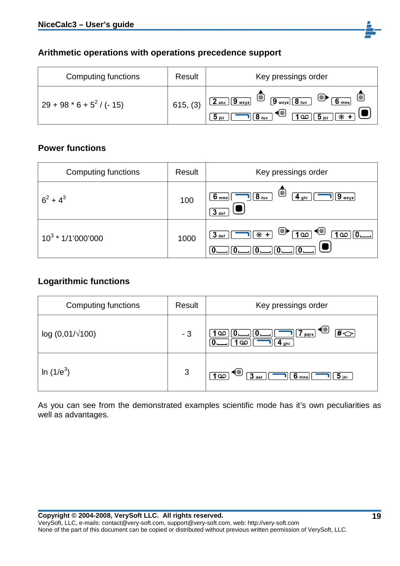

#### **Arithmetic operations with operations precedence support**

| Computing functions         | Result   | Key pressings order                                                                                                                                                                                  |
|-----------------------------|----------|------------------------------------------------------------------------------------------------------------------------------------------------------------------------------------------------------|
| $29 + 98 * 6 + 5^2 / (-15)$ | 615, (3) | $\sqrt{9}$ $\sqrt{9}$ $\sqrt{8}$ $\sqrt{10}$ $\sqrt{9}$<br>◡<br>$6 \overline{\text{mno}}$<br>$\left[2\right]$ abc $\left[\left(9\right]\right]$ wxyz<br>$* +  $<br>8 <sub>tuv</sub><br>  റാ<br>ואו כ |

#### **Power functions**

| Computing functions  | Result | Key pressings order                                                   |
|----------------------|--------|-----------------------------------------------------------------------|
| $6^2 + 4^3$          | 100    | 8 <sub>tuv</sub><br>$9$ wxyz<br>$6 \text{ mno}$<br>$4$ ghi<br>$3$ def |
| $10^3 * 1/1'000'000$ | 1000   | 10<br>1 <sup>0</sup><br>$\ast$<br>$3$ def<br>1 മ                      |

#### **Logarithmic functions**

| <b>Computing functions</b> | Result | Key pressings order                                                                                                                                                                                                                                                                                                                                                                                                                                                                                                                 |
|----------------------------|--------|-------------------------------------------------------------------------------------------------------------------------------------------------------------------------------------------------------------------------------------------------------------------------------------------------------------------------------------------------------------------------------------------------------------------------------------------------------------------------------------------------------------------------------------|
| $log(0.01/\sqrt{100})$     | $-3$   | #<br>၀၀<br>pqrs<br>4 <sub>ghi</sub>                                                                                                                                                                                                                                                                                                                                                                                                                                                                                                 |
| In $(1/e^3)$               | 3      | 40)<br>$\overline{\phantom{a}}$ $\overline{\phantom{a}}$ $\overline{\phantom{a}}$ $\overline{\phantom{a}}$ $\overline{\phantom{a}}$ $\overline{\phantom{a}}$ $\overline{\phantom{a}}$ $\overline{\phantom{a}}$ $\overline{\phantom{a}}$ $\overline{\phantom{a}}$ $\overline{\phantom{a}}$ $\overline{\phantom{a}}$ $\overline{\phantom{a}}$ $\overline{\phantom{a}}$ $\overline{\phantom{a}}$ $\overline{\phantom{a}}$ $\overline{\phantom{a}}$ $\overline{\phantom{a}}$ $\overline{\$<br>$\sqrt{5}$ jkl<br>1 യി<br>$6 \text{ mno}$ |

As you can see from the demonstrated examples scientific mode has it's own peculiarities as well as advantages.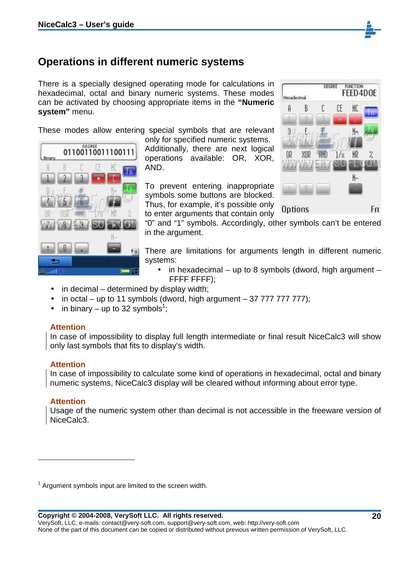## **Operations in different numeric systems**

There is a specially designed operating mode for calculations in hexadecimal, octal and binary numeric systems. These modes can be activated by choosing appropriate items in the **"Numeric system"** menu.

These modes allow entering special symbols that are relevant



only for specified numeric systems. Additionally, there are next logical operations available: OR, XOR, AND.

To prevent entering inappropriate symbols some buttons are blocked. Thus, for example, it's possible only to enter arguments that contain only



"0" and "1" symbols. Accordingly, other symbols can't be entered in the argument.

There are limitations for arguments length in different numeric systems:

- in hexadecimal up to 8 symbols (dword, high argument FFFF FFFF);
- $\bullet$  in decimal determined by display width;
- in octal up to 11 symbols (dword, high argument  $-3777777777$ );
- in binary up to 32 symbols<sup>1</sup>;

#### **Attention**

In case of impossibility to display full length intermediate or final result NiceCalc3 will show only last symbols that fits to display's width.

#### **Attention**

In case of impossibility to calculate some kind of operations in hexadecimal, octal and binary numeric systems, NiceCalc3 display will be cleared without informing about error type.

#### **Attention**

 $\overline{a}$ 

Usage of the numeric system other than decimal is not accessible in the freeware version of NiceCalc3.

 $1$  Argument symbols input are limited to the screen width.

VerySoft, LLC, e-mails: contact@very-soft.com, support@very-soft.com, web: http://very-soft.com None of the part of this document can be copied or distributed without previous written permission of VerySoft, LLC.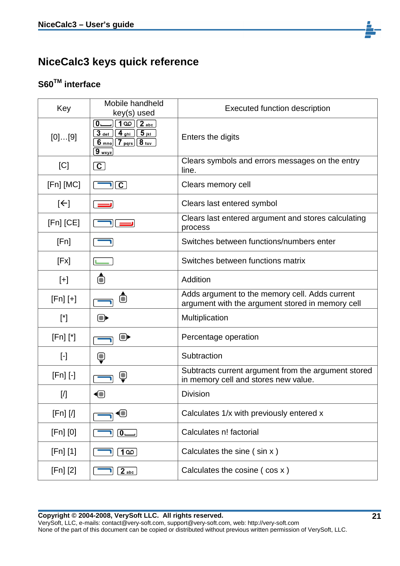## **NiceCalc3 keys quick reference**

## **S60TM interface**

| Key            | Mobile handheld<br>key(s) used                                                                                                                        | <b>Executed function description</b>                                                               |
|----------------|-------------------------------------------------------------------------------------------------------------------------------------------------------|----------------------------------------------------------------------------------------------------|
| [0][9]         | 1 $\omega$<br>$[2]$ abc<br>0∟<br>$\overline{5}_{jkl}$<br>3 <sub>def</sub><br>$\boxed{4}$ ghi<br>$(7)$ pqrs $(8)$ tuv<br>$6 \text{ mno}$<br>$9_{wxyz}$ | Enters the digits                                                                                  |
| [C]            | $\left[\mathbf{C}\right]$                                                                                                                             | Clears symbols and errors messages on the entry<br>line.                                           |
| [Fn] [MC]      | $\overline{\mathbf{C}}$                                                                                                                               | Clears memory cell                                                                                 |
| $[\leftarrow]$ |                                                                                                                                                       | Clears last entered symbol                                                                         |
| [Fn] [CE]      |                                                                                                                                                       | Clears last entered argument and stores calculating<br>process                                     |
| [Fn]           |                                                                                                                                                       | Switches between functions/numbers enter                                                           |
| [Fx]           |                                                                                                                                                       | Switches between functions matrix                                                                  |
| $[+]$          | Ō                                                                                                                                                     | Addition                                                                                           |
| $[Fn]$ [+]     | Ō                                                                                                                                                     | Adds argument to the memory cell. Adds current<br>argument with the argument stored in memory cell |
| [*]            | $\textcolor{blue}{\textcolor{blue}{\bullet}}$                                                                                                         | Multiplication                                                                                     |
| [Fn] [*]       | $\textcolor{red}{\bullet}$                                                                                                                            | Percentage operation                                                                               |
| $[\cdot]$      | Q                                                                                                                                                     | Subtraction                                                                                        |
| [Fn] [-]       | O                                                                                                                                                     | Subtracts current argument from the argument stored<br>in memory cell and stores new value.        |
| [/]            | {■                                                                                                                                                    | <b>Division</b>                                                                                    |
| $[Fn]$ $[/]$   | 0                                                                                                                                                     | Calculates 1/x with previously entered x                                                           |
| $[Fn]$ $[0]$   | $0$ —                                                                                                                                                 | Calculates n! factorial                                                                            |
| [Fn] [1]       | 1 ഥ                                                                                                                                                   | Calculates the sine (sin x)                                                                        |
| [Fn] [2]       | $2$ abc                                                                                                                                               | Calculates the cosine (cos x)                                                                      |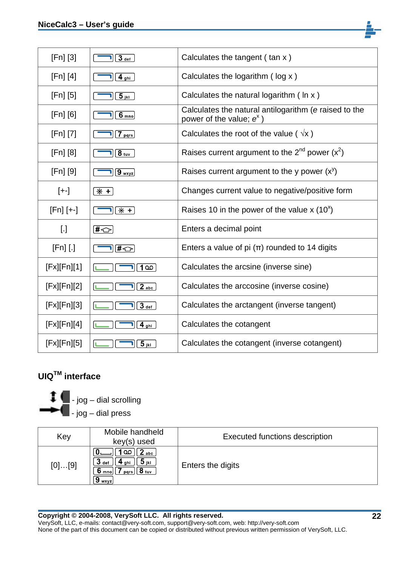| $[Fn]$ $[3]$ | $3$ def                     | Calculates the tangent (tan x)                                                       |
|--------------|-----------------------------|--------------------------------------------------------------------------------------|
| [Fn] [4]     | $4$ ghi                     | Calculates the logarithm (log x)                                                     |
| [Fn] [5]     | $5_{jkl}$                   | Calculates the natural logarithm ( ln x )                                            |
| $[Fn]$ [6]   | $6_{\text{mno}}$            | Calculates the natural antilogarithm (e raised to the<br>power of the value; $e^x$ ) |
| [Fn] [7]     | $7$ pqrs                    | Calculates the root of the value ( $\sqrt{x}$ )                                      |
| [Fn] [8]     | 8 <sub>tur</sub>            | Raises current argument to the $2^{nd}$ power $(x^2)$                                |
| $[Fn]$ [9]   | $\boxed{9}$ wxyz            | Raises current argument to the y power $(x^y)$                                       |
| $[+$         | $*$ +                       | Changes current value to negative/positive form                                      |
| $[Fn]$ [+-]  | $* +$                       | Raises 10 in the power of the value $x(10^x)$                                        |
|              |                             |                                                                                      |
| $[.]$        | [#⇔                         | Enters a decimal point                                                               |
| $[Fn]$ $[.]$ | ⊯⊙                          | Enters a value of pi $(\pi)$ rounded to 14 digits                                    |
| [Fx][Fn][1]  | $\overline{8}$              | Calculates the arcsine (inverse sine)                                                |
| [Fx][Fn][2]  | $2$ abc                     | Calculates the arccosine (inverse cosine)                                            |
| [Fx][Fn][3]  | $3$ def                     | Calculates the arctangent (inverse tangent)                                          |
| [Fx][Fn][4]  | $\overline{4}_{\text{ghi}}$ | Calculates the cotangent                                                             |

## **UIQTM interface**



| Key             | Mobile handheld<br>key(s) used                                                                    | <b>Executed functions description</b> |
|-----------------|---------------------------------------------------------------------------------------------------|---------------------------------------|
| $[0] \dots [9]$ | $2$ abc<br>.OC<br>$3$ def<br>ואן כ<br>ahi<br>8 <sub>tuv</sub><br><b>D</b> mno<br>pars<br>$9$ wxyz | Enters the digits                     |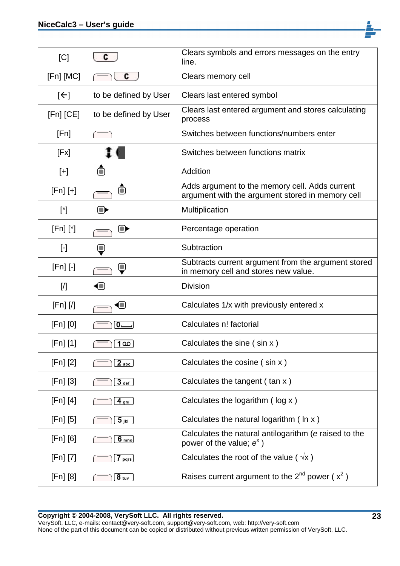| [C]                       | C                                               | Clears symbols and errors messages on the entry<br>line.                                           |
|---------------------------|-------------------------------------------------|----------------------------------------------------------------------------------------------------|
| [Fn] [MC]                 | C                                               | Clears memory cell                                                                                 |
| $[\leftarrow]$            | to be defined by User                           | Clears last entered symbol                                                                         |
| [Fn] [CE]                 | to be defined by User                           | Clears last entered argument and stores calculating<br>process                                     |
| [Fn]                      |                                                 | Switches between functions/numbers enter                                                           |
| [Fx]                      |                                                 | Switches between functions matrix                                                                  |
| $[+]$                     | Ô                                               | Addition                                                                                           |
| $[Fn]$ [+]                | Ô                                               | Adds argument to the memory cell. Adds current<br>argument with the argument stored in memory cell |
| [*]                       | $\textcolor{red}{\textcolor{blue}{\bullet}}$    | Multiplication                                                                                     |
| [Fn] [*]                  | $\textcolor{red}{\bullet}$                      | Percentage operation                                                                               |
| $[\cdot]$                 | $\textcolor{red}{\textcircled{\scriptsize{1}}}$ | Subtraction                                                                                        |
| $[Fn]$ $[-]$              | Ų                                               | Subtracts current argument from the argument stored<br>in memory cell and stores new value.        |
| $\llbracket l \rrbracket$ | {■                                              | <b>Division</b>                                                                                    |
| $[Fn]$ $[/]$              | $\bf\odot$                                      | Calculates 1/x with previously entered x                                                           |
| $[Fn]$ $[0]$              | $0 -$                                           | Calculates n! factorial                                                                            |
| $[Fn]$ [1]                | 1 00                                            | Calculates the sine $(sin x)$                                                                      |
| [Fn] [2]                  | $2$ abc                                         | Calculates the cosine (sin x)                                                                      |
| $[Fn]$ $[3]$              | $3$ def                                         | Calculates the tangent (tan x)                                                                     |
| [Fn] [4]                  | 4 <sub>ghi</sub>                                | Calculates the logarithm (log x)                                                                   |
| [Fn] [5]                  | $5$ jkl                                         | Calculates the natural logarithm ( $\ln x$ )                                                       |
| $[Fn]$ $[6]$              | $6_{\text{mno}}$                                | Calculates the natural antilogarithm (e raised to the<br>power of the value; $e^x$ )               |
| [Fn] [7]                  | $7$ pqrs                                        | Calculates the root of the value ( $\sqrt{x}$ )                                                    |
| [Fn] [8]                  | $8_{\text{tuv}}$                                | Raises current argument to the $2^{nd}$ power ( $x^2$ )                                            |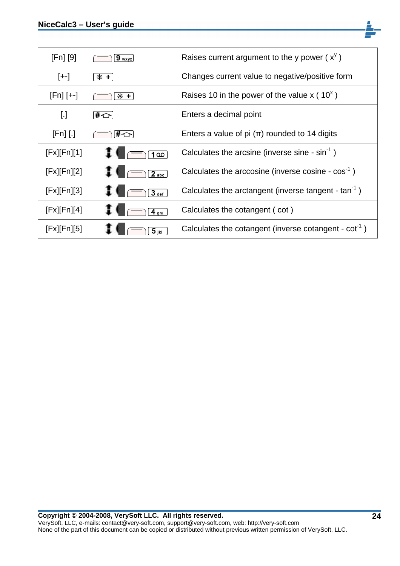| $[Fn]$ $[9]$       | $9_{wxyz}$                       | Raises current argument to the y power $(x^y)$                   |
|--------------------|----------------------------------|------------------------------------------------------------------|
| $[+]$              | $* +$                            | Changes current value to negative/positive form                  |
| $[Fn]$ [+-]        | $* +$                            | Raises 10 in the power of the value $x$ (10 <sup>x</sup> )       |
| $\left[ . \right]$ | [#ഹ]                             | Enters a decimal point                                           |
| $[Fn]$ $[.]$       | [#⇔                              | Enters a value of pi $(\pi)$ rounded to 14 digits                |
| [Fx][Fn][1]        | $\mathbf{I} \blacksquare$<br>1മി | Calculates the arcsine (inverse sine - $sin-1$ )                 |
| [Fx][Fn][2]        | $\mathbf{1}$ ( $-$<br>$2$ abc    | Calculates the arccosine (inverse cosine - $cos-1$ )             |
| [Fx][Fn][3]        | $10-$<br>3 <sub>def</sub>        | Calculates the arctangent (inverse tangent - tan <sup>-1</sup> ) |
| [Fx][Fn][4]        | $\overline{4}_{\text{ghi}}$      | Calculates the cotangent (cot)                                   |
| [Fx][Fn][5]        | $\overline{5}_{jkl}$             | Calculates the cotangent (inverse cotangent - $cot-1$ )          |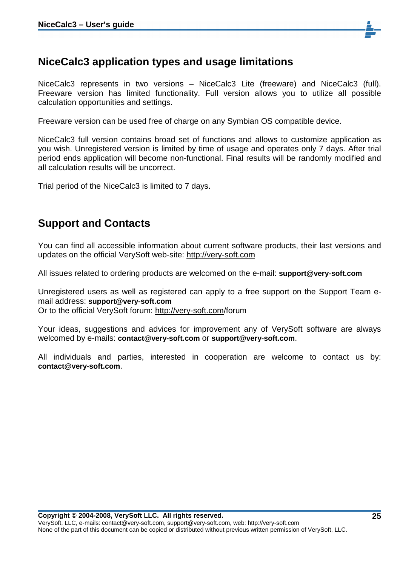

## **NiceCalc3 application types and usage limitations**

NiceCalc3 represents in two versions – NiceCalc3 Lite (freeware) and NiceCalc3 (full). Freeware version has limited functionality. Full version allows you to utilize all possible calculation opportunities and settings.

Freeware version can be used free of charge on any Symbian OS compatible device.

NiceCalc3 full version contains broad set of functions and allows to customize application as you wish. Unregistered version is limited by time of usage and operates only 7 days. After trial period ends application will become non-functional. Final results will be randomly modified and all calculation results will be uncorrect.

Trial period of the NiceCalc3 is limited to 7 days.

## **Support and Contacts**

You can find all accessible information about current software products, their last versions and updates on the official VerySoft web-site: http://very-soft.com

All issues related to ordering products are welcomed on the e-mail: **support@very-soft.com**

Unregistered users as well as registered can apply to a free support on the Support Team email address: **support@very-soft.com**

Or to the official VerySoft forum: http://very-soft.com/forum

Your ideas, suggestions and advices for improvement any of VerySoft software are always welcomed by e-mails: **contact@very-soft.com** or **support@very-soft.com**.

All individuals and parties, interested in cooperation are welcome to contact us by: **contact@very-soft.com**.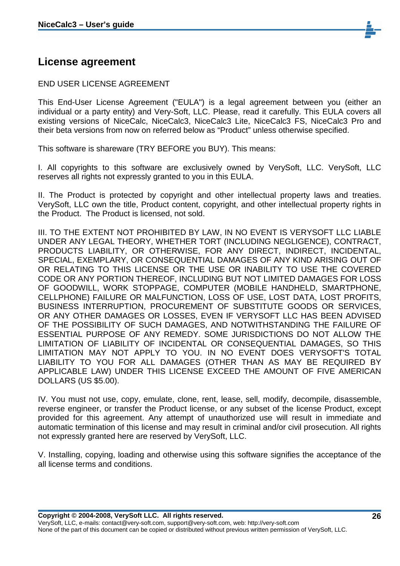

## **License agreement**

#### END USER LICENSE AGREEMENT

This End-User License Agreement ("EULA") is a legal agreement between you (either an individual or a party entity) and Very-Soft, LLC. Please, read it carefully. This EULA covers all existing versions of NiceCalc, NiceCalc3, NiceCalc3 Lite, NiceCalc3 FS, NiceCalc3 Pro and their beta versions from now on referred below as "Product" unless otherwise specified.

This software is shareware (TRY BEFORE you BUY). This means:

I. All copyrights to this software are exclusively owned by VerySoft, LLC. VerySoft, LLC reserves all rights not expressly granted to you in this EULA.

II. The Product is protected by copyright and other intellectual property laws and treaties. VerySoft, LLC own the title, Product content, copyright, and other intellectual property rights in the Product. The Product is licensed, not sold.

III. TO THE EXTENT NOT PROHIBITED BY LAW, IN NO EVENT IS VERYSOFT LLC LIABLE UNDER ANY LEGAL THEORY, WHETHER TORT (INCLUDING NEGLIGENCE), CONTRACT, PRODUCTS LIABILITY, OR OTHERWISE, FOR ANY DIRECT, INDIRECT, INCIDENTAL, SPECIAL, EXEMPLARY, OR CONSEQUENTIAL DAMAGES OF ANY KIND ARISING OUT OF OR RELATING TO THIS LICENSE OR THE USE OR INABILITY TO USE THE COVERED CODE OR ANY PORTION THEREOF, INCLUDING BUT NOT LIMITED DAMAGES FOR LOSS OF GOODWILL, WORK STOPPAGE, COMPUTER (MOBILE HANDHELD, SMARTPHONE, CELLPHONE) FAILURE OR MALFUNCTION, LOSS OF USE, LOST DATA, LOST PROFITS, BUSINESS INTERRUPTION, PROCUREMENT OF SUBSTITUTE GOODS OR SERVICES, OR ANY OTHER DAMAGES OR LOSSES, EVEN IF VERYSOFT LLC HAS BEEN ADVISED OF THE POSSIBILITY OF SUCH DAMAGES, AND NOTWITHSTANDING THE FAILURE OF ESSENTIAL PURPOSE OF ANY REMEDY. SOME JURISDICTIONS DO NOT ALLOW THE LIMITATION OF LIABILITY OF INCIDENTAL OR CONSEQUENTIAL DAMAGES, SO THIS LIMITATION MAY NOT APPLY TO YOU. IN NO EVENT DOES VERYSOFT'S TOTAL LIABILITY TO YOU FOR ALL DAMAGES (OTHER THAN AS MAY BE REQUIRED BY APPLICABLE LAW) UNDER THIS LICENSE EXCEED THE AMOUNT OF FIVE AMERICAN DOLLARS (US \$5.00).

IV. You must not use, copy, emulate, clone, rent, lease, sell, modify, decompile, disassemble, reverse engineer, or transfer the Product license, or any subset of the license Product, except provided for this agreement. Any attempt of unauthorized use will result in immediate and automatic termination of this license and may result in criminal and/or civil prosecution. All rights not expressly granted here are reserved by VerySoft, LLC.

V. Installing, copying, loading and otherwise using this software signifies the acceptance of the all license terms and conditions.

**Copyright © 2004-2008, VerySoft LLC. All rights reserved.**